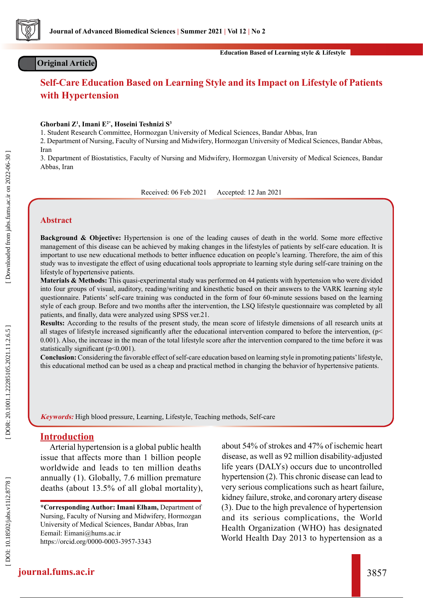

# **Original Article**

**Education Based of Learning style & Lifestyle**

# **Self-Care Education Based on Learning Style and its Impact on Lifestyle of Patients with Hypertension**

#### **Ghorbani Z 1 , Imani E2\*, Hoseini Teshnizi S 3**

1. Student Research Committee, Hormozgan University of Medical Sciences, Bandar Abbas, Iran

2. Department of Nursing, Faculty of Nursing and Midwifery, Hormozgan University of Medical Sciences, Bandar Abbas, Iran

3. Department of Biostatistics, Faculty of Nursing and Midwifery, Hormozgan University of Medical Sciences, Bandar Abbas, Iran

Received: 06 Feb 2021 Accepted: 12 Jan 2021

# **Abstract**

**Background & Objective:** Hypertension is one of the leading causes of death in the world. Some more effective management of this disease can be achieved by making changes in the lifestyles of patients by self-care education. It is important to use new educational methods to better influence education on people's learning. Therefore, the aim of this study was to investigate the effect of using educational tools appropriate to learning style during self-care training on the lifestyle of hypertensive patients.

**Materials & Methods:** This quasi-experimental study was performed on 44 patients with hypertension who were divided into four groups of visual, auditory, reading/writing and kinesthetic based on their answers to the VARK learning style questionnaire. Patients' self-care training was conducted in the form of four 60-minute sessions based on the learning style of each group. Before and two months after the intervention, the LSQ lifestyle questionnaire was completed by all patients, and finally, data were analyzed using SPSS ver.21.

**Results:** According to the results of the present study, the mean score of lifestyle dimensions of all research units at all stages of lifestyle increased significantly after the educational intervention compared to before the intervention, (p< 0.001). Also, the increase in the mean of the total lifestyle score after the intervention compared to the time before it was statistically significant (p<0.001).

**Conclusion:** Considering the favorable effect of self-care education based on learning style in promoting patients' lifestyle, this educational method can be used as a cheap and practical method in changing the behavior of hypertensive patients.

**Keywords:** High blood pressure, Learning, Lifestyle, Teaching methods, Self-care

# **Introduction**

Arterial hypertension is a global public health issue that affects more than 1 billion people worldwide and leads to ten million deaths annually (1). Globally, 7.6 million premature deaths (about 13.5% of all global mortality), about 54% of strokes and 47% of ischemic heart disease, as well as 92 million disability-adjusted life years (DALYs) occurs due to uncontrolled hypertension (2). This chronic disease can lead to very serious complications such as heart failure, kidney failure, stroke, and coronary artery disease (3). Due to the high prevalence of hypertension and its serious complications, the World Health Organization (WHO) has designated World Health Day 2013 to hypertension as a

**<sup>\*</sup>Corresponding Author: Imani Elham,** Department of Nursing, Faculty of Nursing and Midwifery, Hormozgan University of Medical Sciences, Bandar Abbas, Iran [Eemail: Eimani@hums.ac.ir](mailto:%20Eimani%40hums.ac.ir?subject=) <https://orcid.org/0000-0003-3957-3343>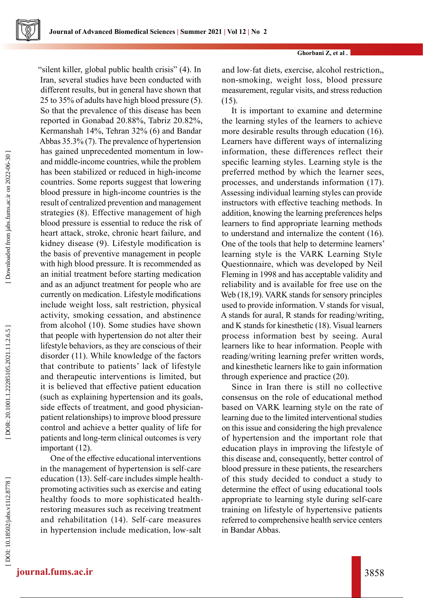

#### **Ghorbani Z, et al .**

"silent killer, global public health crisis" (4). In Iran, several studies have been conducted with different results, but in general have shown that 25 to 35% of adults have high blood pressure (5). So that the prevalence of this disease has been reported in Gonabad 20.88%, Tabriz 20.82%, Kermanshah 14%, Tehran 32% (6) and Bandar Abbas 35.3% (7). The prevalence of hypertension has gained unprecedented momentum in lowand middle-income countries, while the problem has been stabilized or reduced in high-income countries. Some reports suggest that lowering blood pressure in high-income countries is the result of centralized prevention and management strategies (8). Effective management of high blood pressure is essential to reduce the risk of heart attack, stroke, chronic heart failure, and kidney disease (9). Lifestyle modification is the basis of preventive management in people with high blood pressure. It is recommended as an initial treatment before starting medication and as an adjunct treatment for people who are currently on medication. Lifestyle modifications include weight loss, salt restriction, physical activity, smoking cessation, and abstinence from alcohol (10). Some studies have shown that people with hypertension do not alter their lifestyle behaviors, as they are conscious of their disorder (11). While knowledge of the factors that contribute to patients' lack of lifestyle and therapeutic interventions is limited, but it is believed that effective patient education (such as explaining hypertension and its goals, side effects of treatment, and good physicianpatient relationships) to improve blood pressure control and achieve a better quality of life for patients and long-term clinical outcomes is very important (12).

One of the effective educational interventions in the management of hypertension is self-care education (13). Self-care includes simple healthpromoting activities such as exercise and eating healthy foods to more sophisticated healthrestoring measures such as receiving treatment and rehabilitation (14). Self-care measures in hypertension include medication, low-salt

and low-fat diets, exercise, alcohol restriction,, non-smoking, weight loss, blood pressure measurement, regular visits, and stress reduction  $(15)$ .

It is important to examine and determine the learning styles of the learners to achieve more desirable results through education (16). Learners have different ways of internalizing information, these differences reflect their specific learning styles. Learning style is the preferred method by which the learner sees, processes, and understands information (17). Assessing individual learning styles can provide instructors with effective teaching methods. In addition, knowing the learning preferences helps learners to find appropriate learning methods to understand and internalize the content (16). One of the tools that help to determine learners' learning style is the VARK Learning Style Questionnaire, which was developed by Neil Fleming in 1998 and has acceptable validity and reliability and is available for free use on the Web (18,19). VARK stands for sensory principles used to provide information. V stands for visual, A stands for aural, R stands for reading/writing, and K stands for kinesthetic (18). Visual learners process information best by seeing. Aural learners like to hear information. People with reading/writing learning prefer written words, and kinesthetic learners like to gain information through experience and practice (20).

Since in Iran there is still no collective consensus on the role of educational method based on VARK learning style on the rate of learning due to the limited interventional studies on this issue and considering the high prevalence of hypertension and the important role that education plays in improving the lifestyle of this disease and, consequently, better control of blood pressure in these patients, the researchers of this study decided to conduct a study to determine the effect of using educational tools appropriate to learning style during self-care training on lifestyle of hypertensive patients referred to comprehensive health service centers in Bandar Abbas.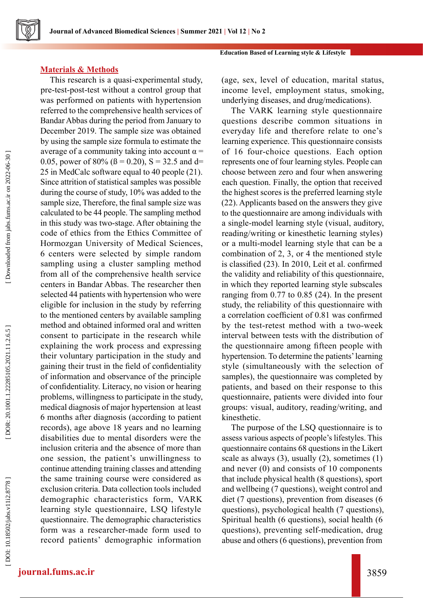### **Education Based of Learning style & Lifestyle**

# **Materials & Methods**

This research is a quasi-experimental study, pre-test-post-test without a control group that was performed on patients with hypertension referred to the comprehensive health services of Bandar Abbas during the period from January to December 2019. The sample size was obtained by using the sample size formula to estimate the average of a community taking into account  $\alpha$  = 0.05, power of 80% ( $\beta$  = 0.20), S = 32.5 and d= 25 in MedCalc software equal to 40 people (21). Since attrition of statistical samples was possible during the course of study, 10% was added to the sample size, Therefore, the final sample size was calculated to be 44 people. The sampling method in this study was two-stage. After obtaining the code of ethics from the Ethics Committee of Hormozgan University of Medical Sciences, 6 centers were selected by simple random sampling using a cluster sampling method from all of the comprehensive health service centers in Bandar Abbas. The researcher then selected 44 patients with hypertension who were eligible for inclusion in the study by referring to the mentioned centers by available sampling method and obtained informed oral and written consent to participate in the research while explaining the work process and expressing their voluntary participation in the study and gaining their trust in the field of confidentiality of information and observance of the principle of confidentiality. Literacy, no vision or hearing problems, willingness to participate in the study, medical diagnosis of major hypertension at least 6 months after diagnosis (according to patient records), age above 18 years and no learning disabilities due to mental disorders were the inclusion criteria and the absence of more than one session, the patient's unwillingness to continue attending training classes and attending the same training course were considered as exclusion criteria. Data collection tools included demographic characteristics form, VARK learning style questionnaire, LSQ lifestyle questionnaire. The demographic characteristics form was a researcher-made form used to record patients' demographic information

(age, sex, level of education, marital status, income level, employment status, smoking, underlying diseases, and drug/medications).

The VARK learning style questionnaire questions describe common situations in everyday life and therefore relate to one's learning experience. This questionnaire consists of 16 four-choice questions. Each option represents one of four learning styles. People can choose between zero and four when answering each question. Finally, the option that received the highest scores is the preferred learning style (22). Applicants based on the answers they give to the questionnaire are among individuals with a single-model learning style (visual, auditory, reading/writing or kinesthetic learning styles) or a multi-model learning style that can be a combination of 2, 3, or 4 the mentioned style is classified (23). In 2010, Leit et al. confirmed the validity and reliability of this questionnaire, in which they reported learning style subscales ranging from 0.77 to 0.85 (24). In the present study, the reliability of this questionnaire with a correlation coefficient of 0.81 was confirmed by the test-retest method with a two-week interval between tests with the distribution of the questionnaire among fifteen people with hypertension. To determine the patients' learning style (simultaneously with the selection of samples), the questionnaire was completed by patients, and based on their response to this questionnaire, patients were divided into four groups: visual, auditory, reading/writing, and kinesthetic.

The purpose of the LSQ questionnaire is to assess various aspects of people's lifestyles. This questionnaire contains 68 questions in the Likert scale as always  $(3)$ , usually  $(2)$ , sometimes  $(1)$ and never (0) and consists of 10 components that include physical health (8 questions), sport and wellbeing (7 questions), weight control and diet (7 questions), prevention from diseases (6 questions), psychological health (7 questions), Spiritual health (6 questions), social health (6 questions), preventing self-medication, drug abuse and others (6 questions), prevention from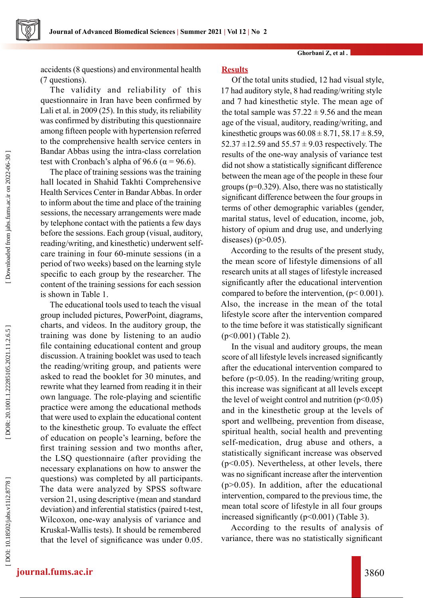**Journal of Advanced Biomedical Sciences | Summer 2021 | Vol 12 | No 2**

**Ghorbani Z, et al .**

accidents (8 questions) and environmental health (7 questions).

The validity and reliability of this questionnaire in Iran have been confirmed by Lali et al. in 2009 (25). In this study, its reliability was confirmed by distributing this questionnaire among fifteen people with hypertension referred to the comprehensive health service centers in Bandar Abbas using the intra-class correlation test with Cronbach's alpha of 96.6 ( $\alpha$  = 96.6).

The place of training sessions was the training hall located in Shahid Takhti Comprehensive Health Services Center in Bandar Abbas. In order to inform about the time and place of the training sessions, the necessary arrangements were made by telephone contact with the patients a few days before the sessions. Each group (visual, auditory, reading/writing, and kinesthetic) underwent selfcare training in four 60-minute sessions (in a period of two weeks) based on the learning style specific to each group by the researcher. The content of the training sessions for each session is shown in Table 1.

The educational tools used to teach the visual group included pictures, PowerPoint, diagrams, charts, and videos. In the auditory group, the training was done by listening to an audio file containing educational content and group discussion. A training booklet was used to teach the reading/writing group, and patients were asked to read the booklet for 30 minutes, and rewrite what they learned from reading it in their own language. The role-playing and scientific practice were among the educational methods that were used to explain the educational content to the kinesthetic group. To evaluate the effect of education on people's learning, before the first training session and two months after, the LSQ questionnaire (after providing the necessary explanations on how to answer the questions) was completed by all participants. The data were analyzed by SPSS software version 21, using descriptive (mean and standard deviation) and inferential statistics (paired t-test, Wilcoxon, one-way analysis of variance and Kruskal-Wallis tests). It should be remembered that the level of significance was under 0.05.

# **Results**

Of the total units studied, 12 had visual style, 17 had auditory style, 8 had reading/writing style and 7 had kinesthetic style. The mean age of the total sample was  $57.22 \pm 9.56$  and the mean age of the visual, auditory, reading/writing, and kinesthetic groups was  $60.08 \pm 8.71$ ,  $58.17 \pm 8.59$ , 52.37  $\pm$ 12.59 and 55.57  $\pm$  9.03 respectively. The results of the one-way analysis of variance test did not show a statistically significant difference between the mean age of the people in these four groups (p=0.329). Also, there was no statistically significant difference between the four groups in terms of other demographic variables (gender, marital status, level of education, income, job, history of opium and drug use, and underlying diseases) ( $p > 0.05$ ).

According to the results of the present study, the mean score of lifestyle dimensions of all research units at all stages of lifestyle increased significantly after the educational intervention compared to before the intervention,  $(p< 0.001)$ . Also, the increase in the mean of the total lifestyle score after the intervention compared to the time before it was statistically significant (p<0.001) (Table 2).

In the visual and auditory groups, the mean score of all lifestyle levels increased significantly after the educational intervention compared to before ( $p<0.05$ ). In the reading/writing group, this increase was significant at all levels except the level of weight control and nutrition  $(p<0.05)$ and in the kinesthetic group at the levels of sport and wellbeing, prevention from disease, spiritual health, social health and preventing self-medication, drug abuse and others, a statistically significant increase was observed (p<0.05). Nevertheless, at other levels, there was no significant increase after the intervention  $(p>0.05)$ . In addition, after the educational intervention, compared to the previous time, the mean total score of lifestyle in all four groups increased significantly (p<0.001) (Table 3).

According to the results of analysis of variance, there was no statistically significant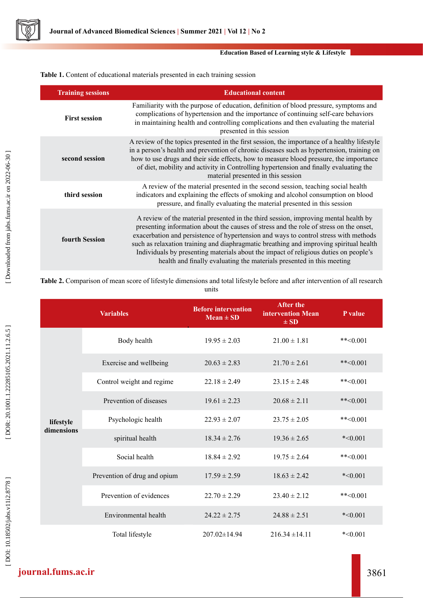

#### **Education Based of Learning style & Lifestyle**

**Table 1.** Content of educational materials presented in each training session

| <b>Training sessions</b> | <b>Educational content</b>                                                                                                                                                                                                                                                                                                                                                                                                                                                                                                       |
|--------------------------|----------------------------------------------------------------------------------------------------------------------------------------------------------------------------------------------------------------------------------------------------------------------------------------------------------------------------------------------------------------------------------------------------------------------------------------------------------------------------------------------------------------------------------|
| <b>First session</b>     | Familiarity with the purpose of education, definition of blood pressure, symptoms and<br>complications of hypertension and the importance of continuing self-care behaviors<br>in maintaining health and controlling complications and then evaluating the material<br>presented in this session                                                                                                                                                                                                                                 |
| second session           | A review of the topics presented in the first session, the importance of a healthy lifestyle<br>in a person's health and prevention of chronic diseases such as hypertension, training on<br>how to use drugs and their side effects, how to measure blood pressure, the importance<br>of diet, mobility and activity in Controlling hypertension and finally evaluating the<br>material presented in this session                                                                                                               |
| third session            | A review of the material presented in the second session, teaching social health<br>indicators and explaining the effects of smoking and alcohol consumption on blood<br>pressure, and finally evaluating the material presented in this session                                                                                                                                                                                                                                                                                 |
| fourth Session           | A review of the material presented in the third session, improving mental health by<br>presenting information about the causes of stress and the role of stress on the onset,<br>exacerbation and persistence of hypertension and ways to control stress with methods<br>such as relaxation training and diaphragmatic breathing and improving spiritual health<br>Individuals by presenting materials about the impact of religious duties on people's<br>health and finally evaluating the materials presented in this meeting |

**Table 2.** Comparison of mean score of lifestyle dimensions and total lifestyle before and after intervention of all research units

|                         | <b>Variables</b>             | <b>Before intervention</b><br>$Mean \pm SD$ | <b>After the</b><br>intervention Mean<br>$\pm SD$ | P value       |
|-------------------------|------------------------------|---------------------------------------------|---------------------------------------------------|---------------|
| lifestyle<br>dimensions | Body health                  | $19.95 \pm 2.03$                            | $21.00 \pm 1.81$                                  | $*$ $< 0.001$ |
|                         | Exercise and wellbeing       | $20.63 \pm 2.83$                            | $21.70 \pm 2.61$                                  | **< $0.001$   |
|                         | Control weight and regime    | $22.18 \pm 2.49$                            | $23.15 \pm 2.48$                                  | **< $0.001$   |
|                         | Prevention of diseases       | $19.61 \pm 2.23$                            | $20.68 \pm 2.11$                                  | $*$ $< 0.001$ |
|                         | Psychologic health           | $22.93 \pm 2.07$                            | $23.75 \pm 2.05$                                  | $*$ $< 0.001$ |
|                         | spiritual health             | $18.34 \pm 2.76$                            | $19.36 \pm 2.65$                                  | $*<0.001$     |
|                         | Social health                | $18.84 \pm 2.92$                            | $19.75 \pm 2.64$                                  | **< $0.001$   |
|                         | Prevention of drug and opium | $17.59 \pm 2.59$                            | $18.63 \pm 2.42$                                  | $*<0.001$     |
|                         | Prevention of evidences      | $22.70 \pm 2.29$                            | $23.40 \pm 2.12$                                  | $*$ $< 0.001$ |
|                         | Environmental health         | $24.22 \pm 2.75$                            | $24.88 \pm 2.51$                                  | $*<0.001$     |
|                         | Total lifestyle              | $207.02 \pm 14.94$                          | $216.34 \pm 14.11$                                | $*<0.001$     |

# **journal.fums.ac.ir** 3861

[DOI: 10.18502/jabs.v11i2.8778]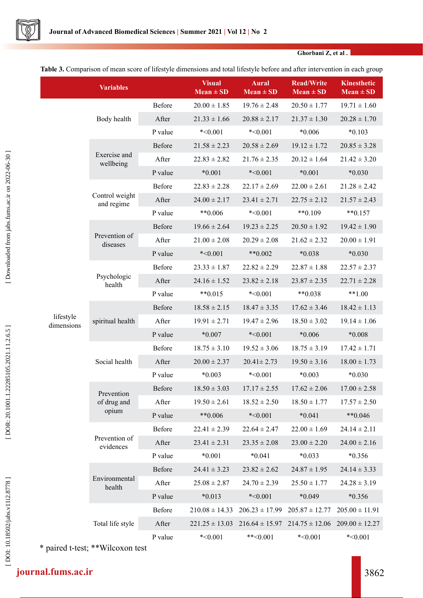

**Ghorbani Z, et al .**

**Table 3.** Comparison of mean score of lifestyle dimensions and total lifestyle before and after intervention in each group

|                         | <b>Variables</b>                   |         | <b>Visual</b><br>$Mean \pm SD$ | <b>Aural</b><br>$Mean \pm SD$ | <b>Read/Write</b><br>$Mean \pm SD$ | Kinesthetic<br>$Mean \pm SD$ |
|-------------------------|------------------------------------|---------|--------------------------------|-------------------------------|------------------------------------|------------------------------|
|                         |                                    | Before  | $20.00 \pm 1.85$               | $19.76 \pm 2.48$              | $20.50 \pm 1.77$                   | $19.71 \pm 1.60$             |
|                         | Body health                        | After   | $21.33 \pm 1.66$               | $20.88 \pm 2.17$              | $21.37 \pm 1.30$                   | $20.28 \pm 1.70$             |
|                         |                                    | P value | $*<0.001$                      | $*<0.001$                     | $*0.006$                           | $*0.103$                     |
|                         |                                    | Before  | $21.58 \pm 2.23$               | $20.58 \pm 2.69$              | $19.12 \pm 1.72$                   | $20.85 \pm 3.28$             |
|                         | Exercise and<br>wellbeing          | After   | $22.83 \pm 2.82$               | $21.76 \pm 2.35$              | $20.12 \pm 1.64$                   | $21.42 \pm 3.20$             |
|                         |                                    | P value | $*0.001$                       | $*<0.001$                     | $*0.001$                           | $*0.030$                     |
|                         |                                    | Before  | $22.83 \pm 2.28$               | $22.17 \pm 2.69$              | $22.00 \pm 2.61$                   | $21.28 \pm 2.42$             |
|                         | Control weight<br>and regime       | After   | $24.00 \pm 2.17$               | $23.41 \pm 2.71$              | $22.75 \pm 2.12$                   | $21.57 \pm 2.43$             |
|                         |                                    | P value | $**0.006$                      | $*<0.001$                     | $**0.109$                          | $**0.157$                    |
|                         |                                    | Before  | $19.66 \pm 2.64$               | $19.23 \pm 2.25$              | $20.50 \pm 1.92$                   | $19.42 \pm 1.90$             |
|                         | Prevention of<br>diseases          | After   | $21.00 \pm 2.08$               | $20.29 \pm 2.08$              | $21.62 \pm 2.32$                   | $20.00 \pm 1.91$             |
|                         |                                    | P value | $*<0.001$                      | $**0.002$                     | $*0.038$                           | $*0.030$                     |
|                         |                                    | Before  | $23.33 \pm 1.87$               | $22.82 \pm 2.29$              | $22.87 \pm 1.88$                   | $22.57 \pm 2.37$             |
|                         | Psychologic<br>health              | After   | $24.16 \pm 1.52$               | $23.82 \pm 2.18$              | $23.87 \pm 2.35$                   | $22.71 \pm 2.28$             |
|                         |                                    | P value | $**0.015$                      | $*<0.001$                     | $**0.038$                          | $**1.00$                     |
|                         |                                    | Before  | $18.58 \pm 2.15$               | $18.47 \pm 3.35$              | $17.62 \pm 3.46$                   | $18.42 \pm 1.13$             |
| lifestyle<br>dimensions | spiritual health                   | After   | $19.91 \pm 2.71$               | $19.47 \pm 2.96$              | $18.50 \pm 3.02$                   | $19.14 \pm 1.06$             |
|                         |                                    | P value | $*0.007$                       | $*<0.001$                     | $*0.006$                           | $*0.008$                     |
|                         |                                    | Before  | $18.75 \pm 3.10$               | $19.52 \pm 3.06$              | $18.75 \pm 3.19$                   | $17.42 \pm 1.71$             |
|                         | Social health                      | After   | $20.00 \pm 2.37$               | $20.41 \pm 2.73$              | $19.50 \pm 3.16$                   | $18.00 \pm 1.73$             |
|                         |                                    | P value | $*0.003$                       | $*<0.001$                     | $*0.003$                           | $*0.030$                     |
|                         | Prevention<br>of drug and<br>opium | Before  | $18.50 \pm 3.03$               | $17.17 \pm 2.55$              | $17.62 \pm 2.06$                   | $17.00 \pm 2.58$             |
|                         |                                    | After   | $19.50 \pm 2.61$               | $18.52 \pm 2.50$              | $18.50 \pm 1.77$                   | $17.57 \pm 2.50$             |
|                         |                                    | P value | **0.006                        | $*<0.001$                     | $*0.041$                           | $**0.046$                    |
|                         |                                    | Before  | $22.41 \pm 2.39$               | $22.64 \pm 2.47$              | $22.00 \pm 1.69$                   | $24.14 \pm 2.11$             |
|                         | Prevention of<br>evidences         | After   | $23.41 \pm 2.31$               | $23.35 \pm 2.08$              | $23.00 \pm 2.20$                   | $24.00 \pm 2.16$             |
|                         |                                    | P value | $*0.001$                       | $*0.041$                      | $*0.033$                           | $*0.356$                     |
|                         |                                    | Before  | $24.41 \pm 3.23$               | $23.82 \pm 2.62$              | $24.87 \pm 1.95$                   | $24.14 \pm 3.33$             |
|                         | Environmental<br>health            | After   | $25.08 \pm 2.87$               | $24.70 \pm 2.39$              | $25.50 \pm 1.77$                   | $24.28 \pm 3.19$             |
|                         |                                    | P value | $*0.013$                       | $*<0.001$                     | $*0.049$                           | $*0.356$                     |
|                         |                                    | Before  | $210.08 \pm 14.33$             | $206.23 \pm 17.99$            | $205.87 \pm 12.77$                 | $205.00 \pm 11.91$           |
|                         | Total life style                   | After   | $221.25 \pm 13.03$             | $216.64 \pm 15.97$            | $214.75 \pm 12.06$                 | $209.00 \pm 12.27$           |
|                         |                                    | P value | $*<0.001$                      | $**<0.001$                    | $*<0.001$                          | $*<0.001$                    |

\* paired t-test; \*\*Wilcoxon test

[DOI: 10.18502/jabs.v11i2.8778]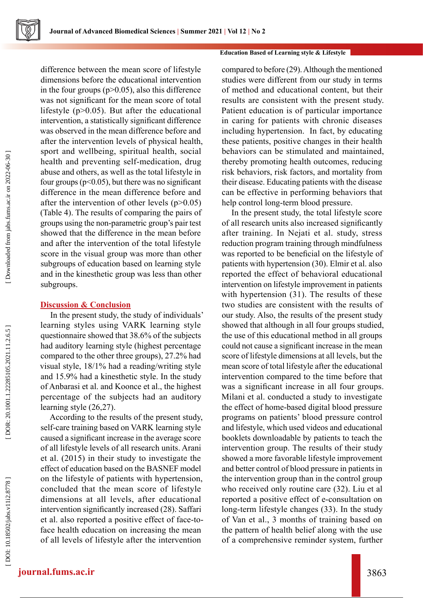

difference between the mean score of lifestyle dimensions before the educational intervention in the four groups  $(p>0.05)$ , also this difference was not significant for the mean score of total lifestyle (p>0.05). But after the educational intervention, a statistically significant difference was observed in the mean difference before and after the intervention levels of physical health, sport and wellbeing, spiritual health, social health and preventing self-medication, drug abuse and others, as well as the total lifestyle in four groups ( $p<0.05$ ), but there was no significant difference in the mean difference before and after the intervention of other levels (p>0.05) (Table 4). The results of comparing the pairs of groups using the non-parametric group's pair test showed that the difference in the mean before and after the intervention of the total lifestyle score in the visual group was more than other subgroups of education based on learning style and in the kinesthetic group was less than other subgroups.

# **Discussion & Conclusion**

In the present study, the study of individuals' learning styles using VARK learning style questionnaire showed that 38.6% of the subjects had auditory learning style (highest percentage compared to the other three groups), 27.2% had visual style, 18/1% had a reading/writing style and 15.9% had a kinesthetic style. In the study of Anbarasi et al. and Koonce et al., the highest percentage of the subjects had an auditory learning style (26,27).

According to the results of the present study, self-care training based on VARK learning style caused a significant increase in the average score of all lifestyle levels of all research units. Arani et al. (2015) in their study to investigate the effect of education based on the BASNEF model on the lifestyle of patients with hypertension, concluded that the mean score of lifestyle dimensions at all levels, after educational intervention significantly increased (28). Saffari et al. also reported a positive effect of face-toface health education on increasing the mean of all levels of lifestyle after the intervention

#### **Education Based of Learning style & Lifestyle**

compared to before (29). Although the mentioned studies were different from our study in terms of method and educational content, but their results are consistent with the present study. Patient education is of particular importance in caring for patients with chronic diseases including hypertension. In fact, by educating these patients, positive changes in their health behaviors can be stimulated and maintained, thereby promoting health outcomes, reducing risk behaviors, risk factors, and mortality from their disease. Educating patients with the disease can be effective in performing behaviors that help control long-term blood pressure.

In the present study, the total lifestyle score of all research units also increased significantly after training. In Nejati et al. study, stress reduction program training through mindfulness was reported to be beneficial on the lifestyle of patients with hypertension (30). Elmir et al. also reported the effect of behavioral educational intervention on lifestyle improvement in patients with hypertension (31). The results of these two studies are consistent with the results of our study. Also, the results of the present study showed that although in all four groups studied, the use of this educational method in all groups could not cause a significant increase in the mean score of lifestyle dimensions at all levels, but the mean score of total lifestyle after the educational intervention compared to the time before that was a significant increase in all four groups. Milani et al. conducted a study to investigate the effect of home-based digital blood pressure programs on patients' blood pressure control and lifestyle, which used videos and educational booklets downloadable by patients to teach the intervention group. The results of their study showed a more favorable lifestyle improvement and better control of blood pressure in patients in the intervention group than in the control group who received only routine care (32). Liu et al reported a positive effect of e-consultation on long-term lifestyle changes (33). In the study of Van et al., 3 months of training based on the pattern of health belief along with the use of a comprehensive reminder system, further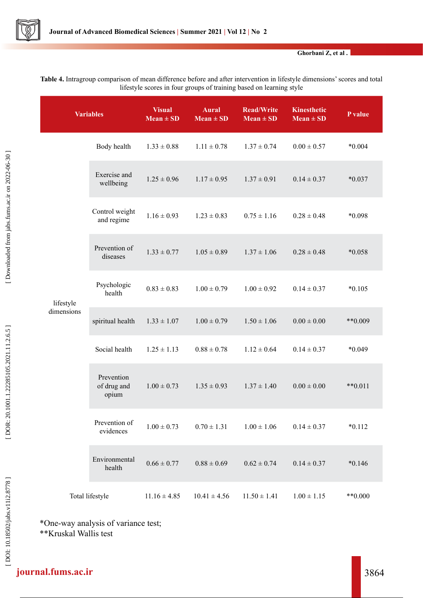

**Ghorbani Z, et al .**

| mestyle scores in four groups of training based on learning style |                                    |                                |                               |                                    |                                     |           |
|-------------------------------------------------------------------|------------------------------------|--------------------------------|-------------------------------|------------------------------------|-------------------------------------|-----------|
| <b>Variables</b>                                                  |                                    | <b>Visual</b><br>$Mean \pm SD$ | <b>Aural</b><br>$Mean \pm SD$ | <b>Read/Write</b><br>$Mean \pm SD$ | <b>Kinesthetic</b><br>$Mean \pm SD$ | P value   |
| lifestyle<br>dimensions                                           | Body health                        | $1.33 \pm 0.88$                | $1.11 \pm 0.78$               | $1.37 \pm 0.74$                    | $0.00 \pm 0.57$                     | $*0.004$  |
|                                                                   | Exercise and<br>wellbeing          | $1.25 \pm 0.96$                | $1.17 \pm 0.95$               | $1.37 \pm 0.91$                    | $0.14 \pm 0.37$                     | $*0.037$  |
|                                                                   | Control weight<br>and regime       | $1.16 \pm 0.93$                | $1.23 \pm 0.83$               | $0.75 \pm 1.16$                    | $0.28 \pm 0.48$                     | *0.098    |
|                                                                   | Prevention of<br>diseases          | $1.33 \pm 0.77$                | $1.05 \pm 0.89$               | $1.37 \pm 1.06$                    | $0.28 \pm 0.48$                     | $*0.058$  |
|                                                                   | Psychologic<br>health              | $0.83 \pm 0.83$                | $1.00 \pm 0.79$               | $1.00 \pm 0.92$                    | $0.14 \pm 0.37$                     | $*0.105$  |
|                                                                   | spiritual health                   | $1.33 \pm 1.07$                | $1.00 \pm 0.79$               | $1.50 \pm 1.06$                    | $0.00 \pm 0.00$                     | **0.009   |
|                                                                   | Social health                      | $1.25 \pm 1.13$                | $0.88 \pm 0.78$               | $1.12 \pm 0.64$                    | $0.14 \pm 0.37$                     | $*0.049$  |
|                                                                   | Prevention<br>of drug and<br>opium | $1.00 \pm 0.73$                | $1.35 \pm 0.93$               | $1.37 \pm 1.40$                    | $0.00 \pm 0.00$                     | $**0.011$ |
|                                                                   | Prevention of<br>evidences         | $1.00 \pm 0.73$                | $0.70 \pm 1.31$               | $1.00 \pm 1.06$                    | $0.14 \pm 0.37$                     | $*0.112$  |
|                                                                   | Environmental<br>health            | $0.66 \pm 0.77$                | $0.88 \pm 0.69$               | $0.62 \pm 0.74$                    | $0.14 \pm 0.37$                     | $*0.146$  |
| Total lifestyle                                                   |                                    | $11.16 \pm 4.85$               | $10.41 \pm 4.56$              | $11.50 \pm 1.41$                   | $1.00 \pm 1.15$                     | $**0.000$ |

**Table 4.** Intragroup comparison of mean difference before and after intervention in lifestyle dimensions' scores and total lifestyle scores in four groups of training based on learning style

\*One-way analysis of variance test; \*\*Kruskal Wallis test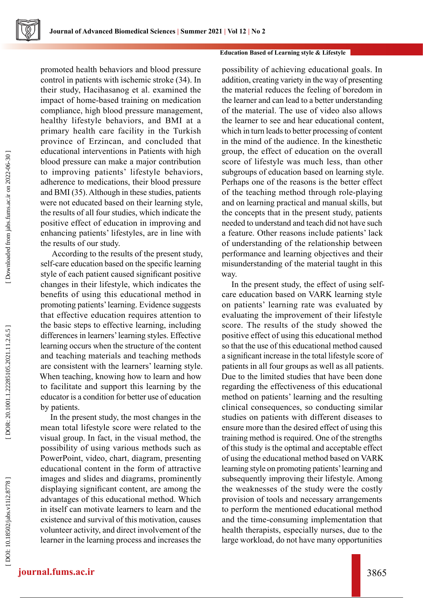promoted health behaviors and blood pressure control in patients with ischemic stroke (34). In their study, Hacihasanog et al. examined the impact of home-based training on medication compliance, high blood pressure management, healthy lifestyle behaviors, and BMI at a primary health care facility in the Turkish province of Erzincan, and concluded that educational interventions in Patients with high blood pressure can make a major contribution to improving patients' lifestyle behaviors, adherence to medications, their blood pressure and BMI (35). Although in these studies, patients were not educated based on their learning style, the results of all four studies, which indicate the positive effect of education in improving and enhancing patients' lifestyles, are in line with the results of our study.

 According to the results of the present study, self-care education based on the specific learning style of each patient caused significant positive changes in their lifestyle, which indicates the benefits of using this educational method in promoting patients' learning. Evidence suggests that effective education requires attention to the basic steps to effective learning, including differences in learners' learning styles. Effective learning occurs when the structure of the content and teaching materials and teaching methods are consistent with the learners' learning style. When teaching, knowing how to learn and how to facilitate and support this learning by the educator is a condition for better use of education by patients.

In the present study, the most changes in the mean total lifestyle score were related to the visual group. In fact, in the visual method, the possibility of using various methods such as PowerPoint, video, chart, diagram, presenting educational content in the form of attractive images and slides and diagrams, prominently displaying significant content, are among the advantages of this educational method. Which in itself can motivate learners to learn and the existence and survival of this motivation, causes volunteer activity, and direct involvement of the learner in the learning process and increases the

## **Education Based of Learning style & Lifestyle**

possibility of achieving educational goals. In addition, creating variety in the way of presenting the material reduces the feeling of boredom in the learner and can lead to a better understanding of the material. The use of video also allows the learner to see and hear educational content, which in turn leads to better processing of content in the mind of the audience. In the kinesthetic group, the effect of education on the overall score of lifestyle was much less, than other subgroups of education based on learning style. Perhaps one of the reasons is the better effect of the teaching method through role-playing and on learning practical and manual skills, but the concepts that in the present study, patients needed to understand and teach did not have such a feature. Other reasons include patients' lack of understanding of the relationship between performance and learning objectives and their misunderstanding of the material taught in this way.

In the present study, the effect of using selfcare education based on VARK learning style on patients' learning rate was evaluated by evaluating the improvement of their lifestyle score. The results of the study showed the positive effect of using this educational method so that the use of this educational method caused a significant increase in the total lifestyle score of patients in all four groups as well as all patients. Due to the limited studies that have been done regarding the effectiveness of this educational method on patients' learning and the resulting clinical consequences, so conducting similar studies on patients with different diseases to ensure more than the desired effect of using this training method is required. One of the strengths of this study is the optimal and acceptable effect of using the educational method based on VARK learning style on promoting patients' learning and subsequently improving their lifestyle. Among the weaknesses of the study were the costly provision of tools and necessary arrangements to perform the mentioned educational method and the time-consuming implementation that health therapists, especially nurses, due to the large workload, do not have many opportunities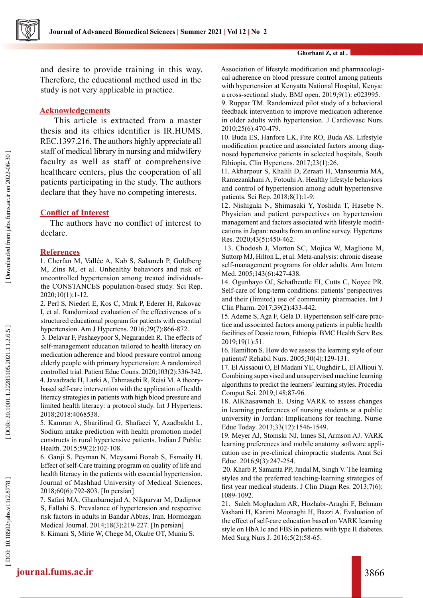

and desire to provide training in this way. Therefore, the educational method used in the study is not very applicable in practice.

# **Acknowledgements**

 This article is extracted from a master thesis and its ethics identifier is IR.HUMS. REC.1397.216. The authors highly appreciate all staff of medical library in nursing and midwifery faculty as well as staff at comprehensive healthcare centers, plus the cooperation of all patients participating in the study. The authors declare that they have no competing interests.

# **Conflict of Interest**

The authors have no conflict of interest to declare.

# **References**

1. Cherfan M, Vallée A, Kab S, Salameh P, Goldberg M, Zins M, et al. Unhealthy behaviors and risk of uncontrolled hypertension among treated individualsthe CONSTANCES population-based study. Sci Rep. 2020;10(1):1-12.

2. Perl S, Niederl E, Kos C, Mrak P, Ederer H, Rakovac I, et al. Randomized evaluation of the effectiveness of a structured educational program for patients with essential hypertension. Am J Hypertens. 2016;29(7):866-872.

 3. Delavar F, Pashaeypoor S, Negarandeh R. The effects of self-management education tailored to health literacy on medication adherence and blood pressure control among elderly people with primary hypertension: A randomized controlled trial. Patient Educ Couns. 2020;103(2):336-342. 4. Javadzade H, Larki A, Tahmasebi R, Reisi M. A theorybased self-care intervention with the application of health literacy strategies in patients with high blood pressure and limited health literacy: a protocol study. Int J Hypertens. 2018;2018:4068538.

5. Kamran A, Sharifirad G, Shafaeei Y, Azadbakht L. Sodium intake prediction with health promotion model constructs in rural hypertensive patients. Indian J Public Health. 2015;59(2):102-108.

6. Ganji S, Peyman N, Meysami Bonab S, Esmaily H. Effect of self-Care training program on quality of life and health literacy in the patients with essential hypertension. Journal of Mashhad University of Medical Sciences. 2018;60(6):792-803. [In persian]

7. Safari MA, Ghanbarnejad A, Nikparvar M, Dadipoor S, Fallahi S. Prevalance of hypertension and respective risk factors in adults in Bandar Abbas, Iran. Hormozgan Medical Journal. 2014;18(3):219-227. [In persian]

8. Kimani S, Mirie W, Chege M, Okube OT, Muniu S.

#### **Ghorbani Z, et al .**

Association of lifestyle modification and pharmacologi cal adherence on blood pressure control among patients with hypertension at Kenyatta National Hospital, Kenya: a cross-sectional study. BMJ open. 2019;9(1): e023995.

9. Ruppar TM. Randomized pilot study of a behavioral feedback intervention to improve medication adherence in older adults with hypertension. J Cardiovasc Nurs. 2010;25(6):470-479.

10. Buda ES, Hanfore LK, Fite RO, Buda AS. Lifestyle modification practice and associated factors among diag nosed hypertensive patients in selected hospitals, South Ethiopia. Clin Hypertens. 2017;23(1):26.

11. Akbarpour S, Khalili D, Zeraati H, Mansournia MA, Ramezankhani A, Fotouhi A. Healthy lifestyle behaviors and control of hypertension among adult hypertensive patients. Sci Rep. 2018;8(1):1-9.

12. Nishigaki N, Shimasaki Y, Yoshida T, Hasebe N. Physician and patient perspectives on hypertension management and factors associated with lifestyle modifi cations in Japan: results from an online survey. Hypertens Res. 2020;43(5):450-462.

 13. Chodosh J, Morton SC, Mojica W, Maglione M, Suttorp MJ, Hilton L, et al. Meta-analysis: chronic disease self-management programs for older adults. Ann Intern Med. 2005;143(6):427-438.

14. Ogunbayo OJ, Schafheutle EI, Cutts C, Noyce PR. Self-care of long-term conditions: patients' perspectives and their (limited) use of community pharmacies. Int J Clin Pharm. 2017;39(2):433-442.

15. Ademe S, Aga F, Gela D. Hypertension self-care prac tice and associated factors among patients in public health facilities of Dessie town, Ethiopia. BMC Health Serv Res. 2019;19(1):51.

16. Hamilton S. How do we assess the learning style of our patients? Rehabil Nurs. 2005;30(4):129-131.

17. El Aissaoui O, El Madani YE, Oughdir L, El Allioui Y. Combining supervised and unsupervised machine learning algorithms to predict the learners' learning styles. Procedia Comput Sci. 2019;148:87-96.

18. AlKhasawneh E. Using VARK to assess changes in learning preferences of nursing students at a public university in Jordan: Implications for teaching. Nurse Educ Today. 2013;33(12):1546-1549.

19. Meyer AJ, Stomski NJ, Innes SI, Armson AJ. VARK learning preferences and mobile anatomy software appli cation use in pre-clinical chiropractic students. Anat Sci Educ. 2016;9(3):247-254.

 20. Kharb P, Samanta PP, Jindal M, Singh V. The learning styles and the preferred teaching-learning strategies of first year medical students. J Clin Diagn Res. 2013;7(6): 1089-1092.

21. Saleh Moghadam AR, Hozhabr-Araghi F, Behnam Vashani H, Karimi Moonaghi H, Bazzi A. Evaluation of the effect of self-care education based on VARK learning style on HbA1c and FBS in patients with type II diabetes. Med Surg Nurs J. 2016;5(2):58-65.